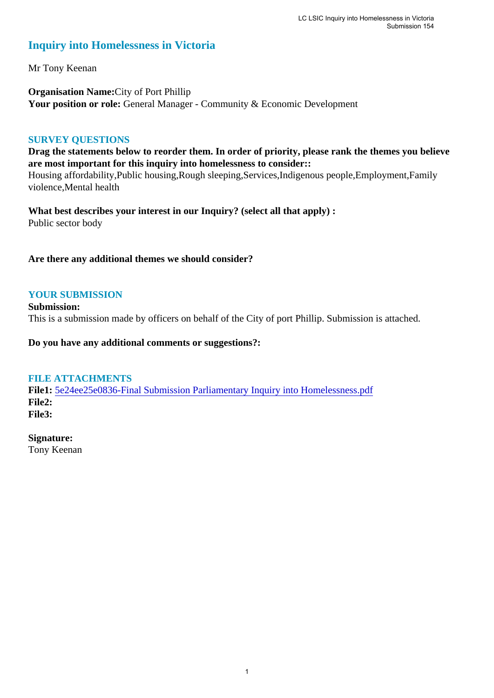#### **Inquiry into Homelessness in Victoria**

Mr Tony Keenan

**Organisation Name:**City of Port Phillip Your position or role: General Manager - Community & Economic Development

#### **SURVEY QUESTIONS**

**Drag the statements below to reorder them. In order of priority, please rank the themes you believe are most important for this inquiry into homelessness to consider::** 

Housing affordability,Public housing,Rough sleeping,Services,Indigenous people,Employment,Family violence,Mental health

**What best describes your interest in our Inquiry? (select all that apply) :**  Public sector body

**Are there any additional themes we should consider?**

#### **YOUR SUBMISSION**

**Submission:**  This is a submission made by officers on behalf of the City of port Phillip. Submission is attached.

**Do you have any additional comments or suggestions?:** 

#### **FILE ATTACHMENTS**

**File1:** [5e24ee25e0836-Final Submission Parliamentary Inquiry into Homelessness.pdf](https://www.parliament.vic.gov.au/component/rsform/submission-view-file/e381caa82d4954df95b587a486592697/16562fbc16543c8ec8d8128490c17e88?Itemid=463) **File2: File3:** 

**Signature:**

Tony Keenan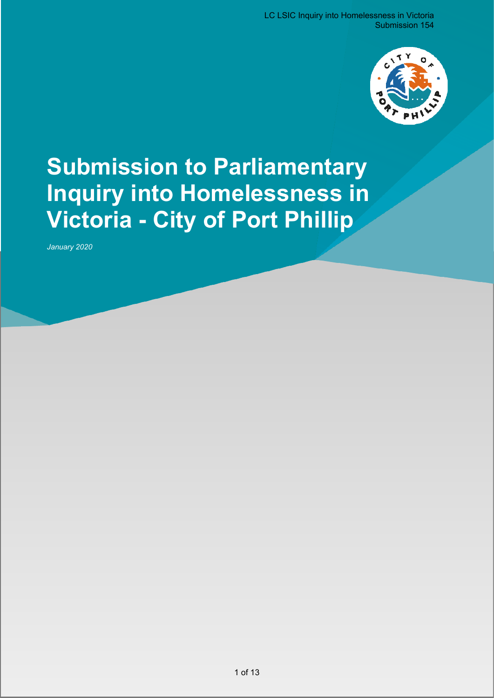

# **Submission to Parliamentary Inquiry into Homelessness in Victoria - City of Port Phillip**

*January 2020*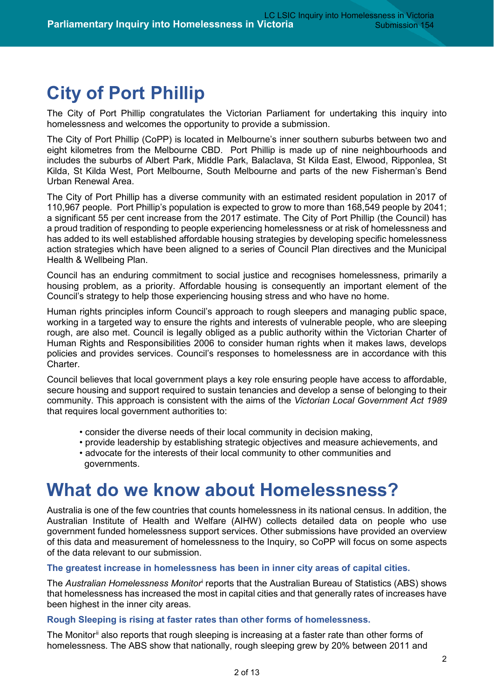# **City of Port Phillip**

The City of Port Phillip congratulates the Victorian Parliament for undertaking this inquiry into homelessness and welcomes the opportunity to provide a submission.

The City of Port Phillip (CoPP) is located in Melbourne's inner southern suburbs between two and eight kilometres from the Melbourne CBD. Port Phillip is made up of nine neighbourhoods and includes the suburbs of Albert Park, Middle Park, Balaclava, St Kilda East, Elwood, Ripponlea, St Kilda, St Kilda West, Port Melbourne, South Melbourne and parts of the new Fisherman's Bend Urban Renewal Area.

The City of Port Phillip has a diverse community with an estimated resident population in 2017 of 110,967 people. Port Phillip's population is expected to grow to more than 168,549 people by 2041; a significant 55 per cent increase from the 2017 estimate. The City of Port Phillip (the Council) has a proud tradition of responding to people experiencing homelessness or at risk of homelessness and has added to its well established affordable housing strategies by developing specific homelessness action strategies which have been aligned to a series of Council Plan directives and the Municipal Health & Wellbeing Plan.

Council has an enduring commitment to social justice and recognises homelessness, primarily a housing problem, as a priority. Affordable housing is consequently an important element of the Council's strategy to help those experiencing housing stress and who have no home.

Human rights principles inform Council's approach to rough sleepers and managing public space, working in a targeted way to ensure the rights and interests of vulnerable people, who are sleeping rough, are also met. Council is legally obliged as a public authority within the Victorian Charter of Human Rights and Responsibilities 2006 to consider human rights when it makes laws, develops policies and provides services. Council's responses to homelessness are in accordance with this Charter.

Council believes that local government plays a key role ensuring people have access to affordable, secure housing and support required to sustain tenancies and develop a sense of belonging to their community. This approach is consistent with the aims of the *Victorian Local Government Act 1989* that requires local government authorities to:

- consider the diverse needs of their local community in decision making,
- provide leadership by establishing strategic objectives and measure achievements, and
- advocate for the interests of their local community to other communities and governments.

### **What do we know about Homelessness?**

Australia is one of the few countries that counts homelessness in its national census. In addition, the Australian Institute of Health and Welfare (AIHW) collects detailed data on people who use government funded homelessness support services. Other submissions have provided an overview of this data and measurement of homelessness to the Inquiry, so CoPP will focus on some aspects of the data relevant to our submission.

#### **The greatest increase in homelessness has been in inner city areas of capital cities.**

The *Australian Homelessness Monitor*[i](#page-12-0) reports that the Australian Bureau of Statistics (ABS) shows that homelessness has increased the most in capital cities and that generally rates of increases have been highest in the inner city areas.

#### **Rough Sleeping is rising at faster rates than other forms of homelessness.**

The Monitor<sup>[ii](#page-12-1)</sup> also reports that rough sleeping is increasing at a faster rate than other forms of homelessness. The ABS show that nationally, rough sleeping grew by 20% between 2011 and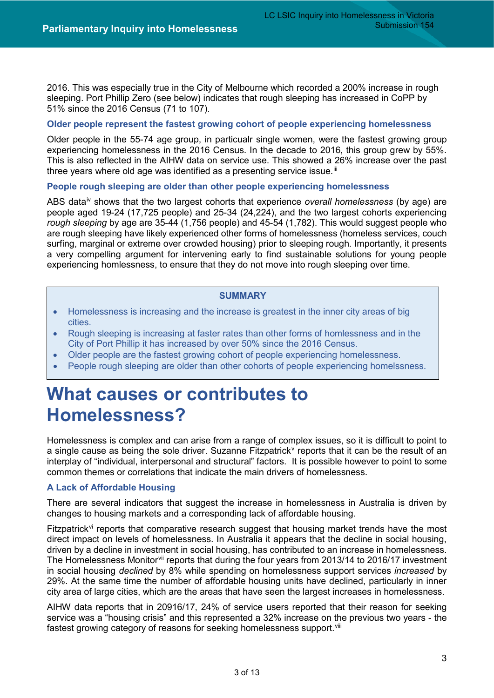2016. This was especially true in the City of Melbourne which recorded a 200% increase in rough sleeping. Port Phillip Zero (see below) indicates that rough sleeping has increased in CoPP by 51% since the 2016 Census (71 to 107).

#### **Older people represent the fastest growing cohort of people experiencing homelessness**

Older people in the 55-74 age group, in particualr single women, were the fastest growing group experiencing homelessness in the 2016 Census. In the decade to 2016, this group grew by 55%. This is also reflected in the AIHW data on service use. This showed a 26% increase over the past three years where old age was identified as a presenting service issue. $iii$ 

#### **People rough sleeping are older than other people experiencing homelessness**

ABS dat[aiv](#page-12-3) shows that the two largest cohorts that experience *overall homelessness* (by age) are people aged 19-24 (17,725 people) and 25-34 (24,224), and the two largest cohorts experiencing *rough sleeping* by age are 35-44 (1,756 people) and 45-54 (1,782). This would suggest people who are rough sleeping have likely experienced other forms of homelessness (homeless services, couch surfing, marginal or extreme over crowded housing) prior to sleeping rough. Importantly, it presents a very compelling argument for intervening early to find sustainable solutions for young people experiencing homlessness, to ensure that they do not move into rough sleeping over time.

#### **SUMMARY**

- Homelessness is increasing and the increase is greatest in the inner city areas of big cities.
- Rough sleeping is increasing at faster rates than other forms of homlessness and in the City of Port Phillip it has increased by over 50% since the 2016 Census.
- Older people are the fastest growing cohort of people experiencing homelessness.
- People rough sleeping are older than other cohorts of people experiencing homelssness.

## **What causes or contributes to Homelessness?**

Homelessness is complex and can arise from a range of complex issues, so it is difficult to point to a single cause as being the sole dri[v](#page-12-4)er. Suzanne Fitzpatrick<sup>y</sup> reports that it can be the result of an interplay of "individual, interpersonal and structural" factors. It is possible however to point to some common themes or correlations that indicate the main drivers of homelessness.

#### **A Lack of Affordable Housing**

There are several indicators that suggest the increase in homelessness in Australia is driven by changes to housing markets and a corresponding lack of affordable housing.

Fitzpatrick<sup>[vi](#page-12-5)</sup> reports that comparative research suggest that housing market trends have the most direct impact on levels of homelessness. In Australia it appears that the decline in social housing, driven by a decline in investment in social housing, has contributed to an increase in homelessness. The Homelessness Monitor[vii](#page-12-6) reports that during the four years from 2013/14 to 2016/17 investment in social housing *declined* by 8% while spending on homelessness support services *increased* by 29%. At the same time the number of affordable housing units have declined, particularly in inner city area of large cities, which are the areas that have seen the largest increases in homelessness.

AIHW data reports that in 20916/17, 24% of service users reported that their reason for seeking service was a "housing crisis" and this represented a 32% increase on the previous two years - the fastest growing category of reasons for seeking homelessness support.<sup>[viii](#page-12-7)</sup>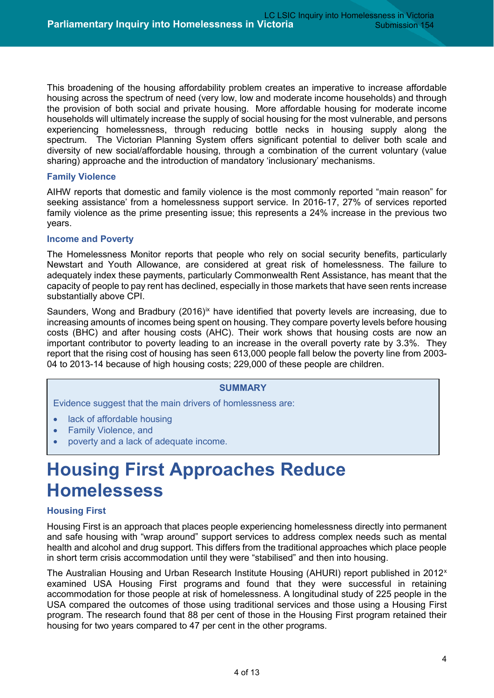This broadening of the housing affordability problem creates an imperative to increase affordable housing across the spectrum of need (very low, low and moderate income households) and through the provision of both social and private housing. More affordable housing for moderate income households will ultimately increase the supply of social housing for the most vulnerable, and persons experiencing homelessness, through reducing bottle necks in housing supply along the spectrum. The Victorian Planning System offers significant potential to deliver both scale and diversity of new social/affordable housing, through a combination of the current voluntary (value sharing) approache and the introduction of mandatory 'inclusionary' mechanisms.

#### **Family Violence**

AIHW reports that domestic and family violence is the most commonly reported "main reason" for seeking assistance' from a homelessness support service. In 2016-17, 27% of services reported family violence as the prime presenting issue; this represents a 24% increase in the previous two years.

#### **Income and Poverty**

The Homelessness Monitor reports that people who rely on social security benefits, particularly Newstart and Youth Allowance, are considered at great risk of homelessness. The failure to adequately index these payments, particularly Commonwealth Rent Assistance, has meant that the capacity of people to pay rent has declined, especially in those markets that have seen rents increase substantially above CPI.

Saunders, Wong and Bradbury (2016)<sup>[ix](#page-12-8)</sup> have identified that poverty levels are increasing, due to increasing amounts of incomes being spent on housing. They compare poverty levels before housing costs (BHC) and after housing costs (AHC). Their work shows that housing costs are now an important contributor to poverty leading to an increase in the overall poverty rate by 3.3%. They report that the rising cost of housing has seen 613,000 people fall below the poverty line from 2003- 04 to 2013-14 because of high housing costs; 229,000 of these people are children.

#### **SUMMARY**

Evidence suggest that the main drivers of homlessness are:

- **lack of affordable housing**
- Family Violence, and
- poverty and a lack of adequate income.

# **Housing First Approaches Reduce Homelessess**

#### **Housing First**

Housing First is an approach that places people experiencing homelessness directly into permanent and safe housing with "wrap around" support services to address complex needs such as mental health and alcohol and drug support. This differs from the traditional approaches which place people in short term crisis accommodation until they were "stabilised" and then into housing.

The Australian Housing and Urban Research Institute Housing (AHURI) report published in 2012<sup>x</sup> [examined USA Housing First programs](https://www.ahuri.edu.au/research/final-reports/184) and found that they were successful in retaining accommodation for those people at risk of homelessness. A longitudinal study of 225 people in the USA compared the outcomes of those using traditional services and those using a Housing First program. The research found that 88 per cent of those in the Housing First program retained their housing for two years compared to 47 per cent in the other programs.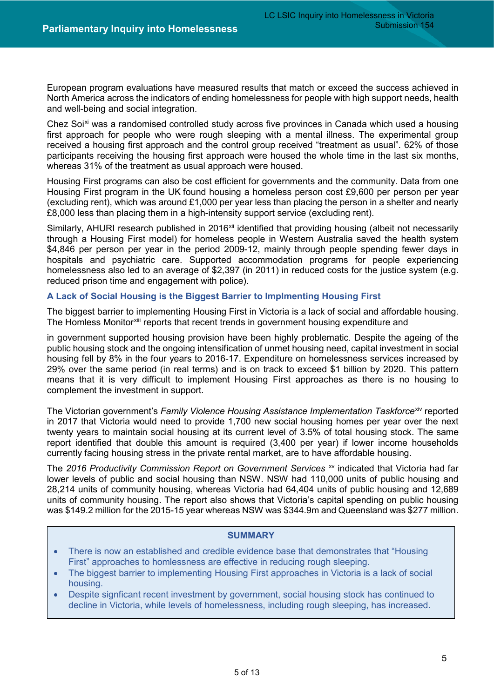[European program evaluations](http://housingfirsteurope.eu/guide/what-is-housing-first/the-evidence-for-housing-first/) have measured results that match or exceed the success achieved in North America across the indicators of ending homelessness for people with high support needs, health and well-being and social integration.

Chez Soi<sup>[xi](#page-12-10)</sup> was a randomised controlled study across five provinces in Canada which used a housing first approach for people who were rough sleeping with a mental illness. The experimental group received a housing first approach and the control group received "treatment as usual". 62% of those participants receiving the housing first approach were housed the whole time in the last six months, whereas 31% of the treatment as usual approach were housed.

Housing First programs can also be cost efficient for governments and the community. [Data from one](http://housingfirstguide.eu/website/wp-content/uploads/2016/06/HFG_full_Digital.pdf)  [Housing First program in the UK](http://housingfirstguide.eu/website/wp-content/uploads/2016/06/HFG_full_Digital.pdf) found housing a homeless person cost £9,600 per person per year (excluding rent), which was around £1,000 per year less than placing the person in a shelter and nearly £8,000 less than placing them in a high-intensity support service (excluding rent).

Similarly, [AHURI research published in 2016](https://www.ahuri.edu.au/research/final-reports/265)<sup>[xii](#page-12-11)</sup> identified that providing housing (albeit not necessarily through a Housing First model) for homeless people in Western Australia saved the health system \$4,846 per person per year in the period 2009-12, mainly through people spending fewer days in hospitals and psychiatric care. Supported accommodation programs for people experiencing homelessness also led to an average of [\\$2,397 \(in 2011\) in reduced costs for the justice system](https://www.ahuri.edu.au/research/final-reports/218) (e.g. reduced prison time and engagement with police).

#### **A Lack of Social Housing is the Biggest Barrier to Implmenting Housing First**

The biggest barrier to implementing Housing First in Victoria is a lack of social and affordable housing. The Homless Monitor<sup>[xiii](#page-12-12)</sup> reports that recent trends in government housing expenditure and

in government supported housing provision have been highly problematic. Despite the ageing of the public housing stock and the ongoing intensification of unmet housing need, capital investment in social housing fell by 8% in the four years to 2016-17. Expenditure on homelessness services increased by 29% over the same period (in real terms) and is on track to exceed \$1 billion by 2020. This pattern means that it is very difficult to implement Housing First approaches as there is no housing to complement the investment in support.

The Victorian government's *Family Violence Housing Assistance Implementation Taskforce<sup>xiv</sup> reported* in 2017 that Victoria would need to provide 1,700 new social housing homes per year over the next twenty years to maintain social housing at its current level of 3.5% of total housing stock. The same report identified that double this amount is required (3,400 per year) if lower income households currently facing housing stress in the private rental market, are to have affordable housing.

The 2016 Productivity Commission Report on Government Services<sup>[xv](#page-12-14)</sup> indicated that Victoria had far lower levels of public and social housing than NSW. NSW had 110,000 units of public housing and 28,214 units of community housing, whereas Victoria had 64,404 units of public housing and 12,689 units of community housing. The report also shows that Victoria's capital spending on public housing was \$149.2 million for the 2015-15 year whereas NSW was \$344.9m and Queensland was \$277 million.

#### **SUMMARY**

- There is now an established and credible evidence base that demonstrates that "Housing First" approaches to homlessness are effective in reducing rough sleeping.
- The biggest barrier to implementing Housing First approaches in Victoria is a lack of social housing.
- Despite signficant recent investment by government, social housing stock has continued to decline in Victoria, while levels of homelessness, including rough sleeping, has increased.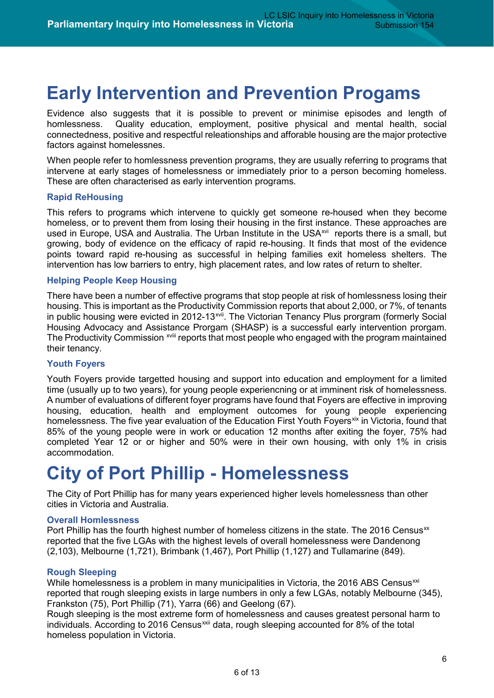## **Early Intervention and Prevention Progams**

Evidence also suggests that it is possible to prevent or minimise episodes and length of homlessness. Quality education, employment, positive physical and mental health, social connectedness, positive and respectful releationships and afforable housing are the major protective factors against homelessnes.

When people refer to homlessness prevention programs, they are usually referring to programs that intervene at early stages of homelessness or immediately prior to a person becoming homeless. These are often characterised as early intervention programs.

#### **Rapid ReHousing**

This refers to programs which intervene to quickly get someone re-housed when they become homeless, or to prevent them from losing their housing in the first instance. These approaches are used in Europe, USA and Australia. The Urban Institute in the USA<sup>[xvi](#page-12-15)</sup> reports there is a small, but growing, body of evidence on the efficacy of rapid re-housing. It finds that most of the evidence points toward rapid re-housing as successful in helping families exit homeless shelters. The intervention has low barriers to entry, high placement rates, and low rates of return to shelter.

#### **Helping People Keep Housing**

There have been a number of effective programs that stop people at risk of homlessness losing their housing. This is important as the Productivity Commission reports that about 2,000, or 7%, of tenants in public housing were evicted in 2012-13<sup>xvii</sup>. The Victorian Tenancy Plus prorgram (formerly Social The P[r](#page-13-0)oductivity Commission <sup>xviii</sup> reports that most people who engaged with the program maintained Housing Advocacy and Assistance Prorgam (SHASP) is a successful early intervention prorgam. their tenancy.

#### **Youth Foyers**

Youth Foyers provide targetted housing and support into education and employment for a limited time (usually up to two years), for young people experiencning or at imminent risk of homelessness. A number of evaluations of different foyer programs have found that Foyers are effective in improving housing, education, health and employment outcomes for young people experiencing homelessness. The five year evaluation of the Education First Youth Foyers<sup>[xix](#page-13-1)</sup> in Victoria, found that 85% of the young people were in work or education 12 months after exiting the foyer, 75% had completed Year 12 or or higher and 50% were in their own housing, with only 1% in crisis accommodation.

## **City of Port Phillip - Homelessness**

The City of Port Phillip has for many years experienced higher levels homelessness than other cities in Victoria and Australia.

#### **Overall Homlessness**

Port Phillip has the fourth highest number of homeless citizens in the state. The 2016 Census<sup>[xx](#page-13-2)</sup> reported that the five LGAs with the highest levels of overall homelessness were Dandenong (2,103), Melbourne (1,721), Brimbank (1,467), Port Phillip (1,127) and Tullamarine (849).

#### **Rough Sleeping**

While homelessness is a problem in many municipalities in Victoria, the 2016 ABS Census<sup> $xi$ </sup> reported that rough sleeping exists in large numbers in only a few LGAs, notably Melbourne (345), Frankston (75), Port Phillip (71), Yarra (66) and Geelong (67).

Rough sleeping is the most extreme form of homelessness and causes greatest personal harm to individuals. According to 2016 Census<sup>[xxii](#page-13-4)</sup> data, rough sleeping accounted for 8% of the total homeless population in Victoria.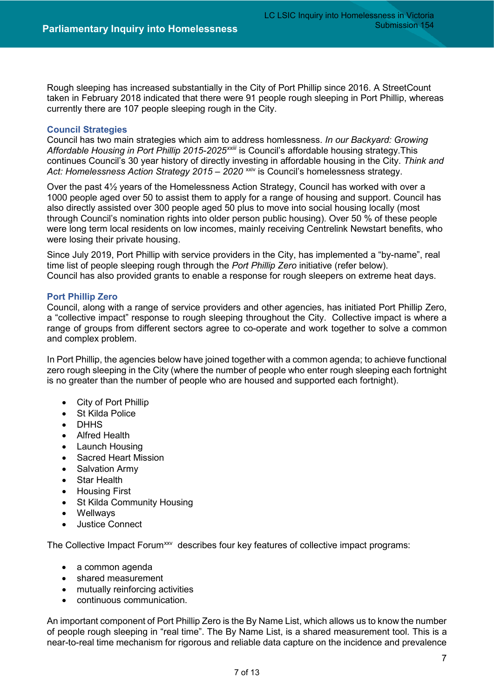Rough sleeping has increased substantially in the City of Port Phillip since 2016. A StreetCount taken in February 2018 indicated that there were 91 people rough sleeping in Port Phillip, whereas currently there are 107 people sleeping rough in the City.

#### **Council Strategies**

Council has two main strategies which aim to [ad](#page-13-5)dress homlessness. *In our Backyard: Growing Affordable Housing in Port Phillip 2015-2025xxiii* is Council's affordable housing strategy.This continues Council's 30 year history of directly investing in affordable housing in the City. *Think and*  Act: Homelessness Action Strategy 2015 – 2020<sup>[xxiv](#page-13-6)</sup> is Council's homelessness strategy.

Over the past 4½ years of the Homelessness Action Strategy, Council has worked with over a 1000 people aged over 50 to assist them to apply for a range of housing and support. Council has also directly assisted over 300 people aged 50 plus to move into social housing locally (most through Council's nomination rights into older person public housing). Over 50 % of these people were long term local residents on low incomes, mainly receiving Centrelink Newstart benefits, who were losing their private housing.

Since July 2019, Port Phillip with service providers in the City, has implemented a "by-name", real time list of people sleeping rough through the *Port Phillip Zero* initiative (refer below). Council has also provided grants to enable a response for rough sleepers on extreme heat days.

#### **Port Phillip Zero**

Council, along with a range of service providers and other agencies, has initiated Port Phillip Zero, a "collective impact" response to rough sleeping throughout the City. Collective impact is where a range of groups from different sectors agree to co-operate and work together to solve a common and complex problem.

In Port Phillip, the agencies below have joined together with a common agenda; to achieve functional zero rough sleeping in the City (where the number of people who enter rough sleeping each fortnight is no greater than the number of people who are housed and supported each fortnight).

- City of Port Phillip
- St Kilda Police
- DHHS
- Alfred Health
- Launch Housing
- Sacred Heart Mission
- Salvation Army
- Star Health
- Housing First
- **St Kilda Community Housing**
- Wellways
- Justice Connect

The Collective Impact Forum<sup>xxv</sup> describes four key features of collective impact programs:

- a common agenda
- shared measurement
- mutually reinforcing activities
- continuous communication.

An important component of Port Phillip Zero is the By Name List, which allows us to know the number of people rough sleeping in "real time". The By Name List, is a shared measurement tool. This is a near-to-real time mechanism for rigorous and reliable data capture on the incidence and prevalence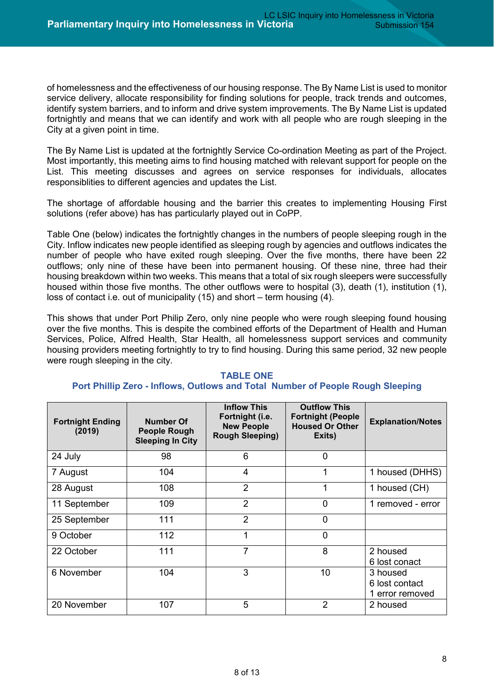of homelessness and the effectiveness of our housing response. The By Name List is used to monitor service delivery, allocate responsibility for finding solutions for people, track trends and outcomes, identify system barriers, and to inform and drive system improvements. The By Name List is updated fortnightly and means that we can identify and work with all people who are rough sleeping in the City at a given point in time.

The By Name List is updated at the fortnightly Service Co-ordination Meeting as part of the Project. Most importantly, this meeting aims to find housing matched with relevant support for people on the List. This meeting discusses and agrees on service responses for individuals, allocates responsiblities to different agencies and updates the List.

The shortage of affordable housing and the barrier this creates to implementing Housing First solutions (refer above) has has particularly played out in CoPP.

Table One (below) indicates the fortnightly changes in the numbers of people sleeping rough in the City. Inflow indicates new people identified as sleeping rough by agencies and outflows indicates the number of people who have exited rough sleeping. Over the five months, there have been 22 outflows; only nine of these have been into permanent housing. Of these nine, three had their housing breakdown within two weeks. This means that a total of six rough sleepers were successfully housed within those five months. The other outflows were to hospital (3), death (1), institution (1), loss of contact i.e. out of municipality (15) and short – term housing (4).

This shows that under Port Philip Zero, only nine people who were rough sleeping found housing over the five months. This is despite the combined efforts of the Department of Health and Human Services, Police, Alfred Health, Star Health, all homelessness support services and community housing providers meeting fortnightly to try to find housing. During this same period, 32 new people were rough sleeping in the city.

| <b>Fortnight Ending</b><br>(2019) | Number Of<br><b>People Rough</b><br><b>Sleeping In City</b> | <b>Inflow This</b><br>Fortnight (i.e.<br><b>New People</b><br><b>Rough Sleeping)</b> | <b>Outflow This</b><br><b>Fortnight (People</b><br><b>Housed Or Other</b><br>Exits) | <b>Explanation/Notes</b>                      |
|-----------------------------------|-------------------------------------------------------------|--------------------------------------------------------------------------------------|-------------------------------------------------------------------------------------|-----------------------------------------------|
| 24 July                           | 98                                                          | 6                                                                                    | $\overline{0}$                                                                      |                                               |
| 7 August                          | 104                                                         | 4                                                                                    | 1                                                                                   | 1 housed (DHHS)                               |
| 28 August                         | 108                                                         | $\overline{2}$                                                                       | 1                                                                                   | 1 housed (CH)                                 |
| 11 September                      | 109                                                         | $\overline{2}$                                                                       | $\overline{0}$                                                                      | 1 removed - error                             |
| 25 September                      | 111                                                         | $\overline{2}$                                                                       | $\overline{0}$                                                                      |                                               |
| 9 October                         | 112                                                         |                                                                                      | $\overline{0}$                                                                      |                                               |
| 22 October                        | 111                                                         | 7                                                                                    | 8                                                                                   | 2 housed<br>6 lost conact                     |
| 6 November                        | 104                                                         | 3                                                                                    | 10                                                                                  | 3 housed<br>6 lost contact<br>1 error removed |
| 20 November                       | 107                                                         | 5                                                                                    | 2                                                                                   | 2 housed                                      |

#### **TABLE ONE**

#### **Port Phillip Zero - Inflows, Outlows and Total Number of People Rough Sleeping**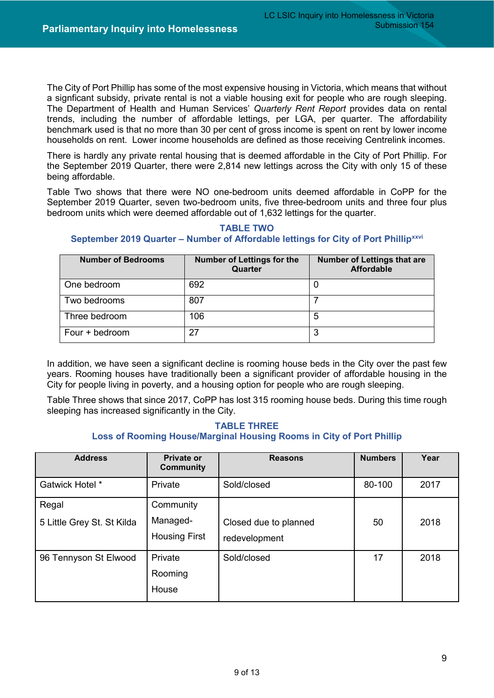The City of Port Phillip has some of the most expensive housing in Victoria, which means that without a signficant subsidy, private rental is not a viable housing exit for people who are rough sleeping. The Department of Health and Human Services' *Quarterly Rent Report* provides data on rental trends, including the number of affordable lettings, per LGA, per quarter. The affordability benchmark used is that no more than 30 per cent of gross income is spent on rent by lower income households on rent. Lower income households are defined as those receiving Centrelink incomes.

There is hardly any private rental housing that is deemed affordable in the City of Port Phillip. For the September 2019 Quarter, there were 2,814 new lettings across the City with only 15 of these being affordable.

Table Two shows that there were NO one-bedroom units deemed affordable in CoPP for the September 2019 Quarter, seven two-bedroom units, five three-bedroom units and three four plus bedroom units which were deemed affordable out of 1,632 lettings for the quarter.

#### **TABLE TWO September 2019 Quarter – Number of Affordable lettings for City of Port Phillip[xxvi](#page-13-8)**

| <b>Number of Bedrooms</b> | <b>Number of Lettings for the</b><br>Quarter | <b>Number of Lettings that are</b><br><b>Affordable</b> |
|---------------------------|----------------------------------------------|---------------------------------------------------------|
| One bedroom               | 692                                          |                                                         |
| Two bedrooms              | 807                                          |                                                         |
| Three bedroom             | 106                                          | 5                                                       |
| Four + bedroom            | 27                                           | ິ                                                       |

In addition, we have seen a significant decline is rooming house beds in the City over the past few years. Rooming houses have traditionally been a significant provider of affordable housing in the City for people living in poverty, and a housing option for people who are rough sleeping.

Table Three shows that since 2017, CoPP has lost 315 rooming house beds. During this time rough sleeping has increased significantly in the City.

#### **TABLE THREE Loss of Rooming House/Marginal Housing Rooms in City of Port Phillip**

| <b>Address</b>                      | <b>Private or</b><br><b>Community</b>         | <b>Reasons</b>                         | <b>Numbers</b> | Year |
|-------------------------------------|-----------------------------------------------|----------------------------------------|----------------|------|
| Gatwick Hotel *                     | Private                                       | Sold/closed                            | 80-100         | 2017 |
| Regal<br>5 Little Grey St. St Kilda | Community<br>Managed-<br><b>Housing First</b> | Closed due to planned<br>redevelopment | 50             | 2018 |
| 96 Tennyson St Elwood               | Private<br>Rooming<br>House                   | Sold/closed                            | 17             | 2018 |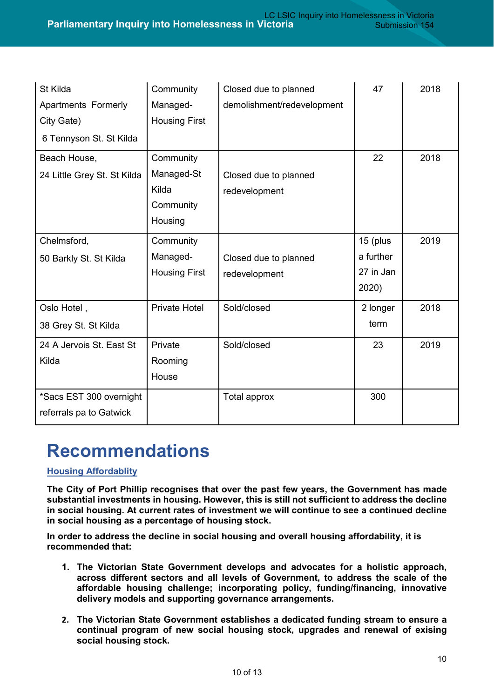| St Kilda<br><b>Apartments Formerly</b>             | Community<br>Managed- | Closed due to planned<br>demolishment/redevelopment | 47        | 2018 |
|----------------------------------------------------|-----------------------|-----------------------------------------------------|-----------|------|
| City Gate)                                         | <b>Housing First</b>  |                                                     |           |      |
| 6 Tennyson St. St Kilda                            |                       |                                                     |           |      |
| Beach House,                                       | Community             |                                                     | 22        | 2018 |
| 24 Little Grey St. St Kilda                        | Managed-St            | Closed due to planned                               |           |      |
|                                                    | Kilda                 | redevelopment                                       |           |      |
|                                                    | Community             |                                                     |           |      |
|                                                    | Housing               |                                                     |           |      |
| Chelmsford,                                        | Community             |                                                     | 15 (plus  | 2019 |
| 50 Barkly St. St Kilda                             | Managed-              | Closed due to planned                               | a further |      |
|                                                    | <b>Housing First</b>  | redevelopment                                       | 27 in Jan |      |
|                                                    |                       |                                                     | 2020)     |      |
| Oslo Hotel,                                        | <b>Private Hotel</b>  | Sold/closed                                         | 2 longer  | 2018 |
| 38 Grey St. St Kilda                               |                       |                                                     | term      |      |
| 24 A Jervois St. East St                           | Private               | Sold/closed                                         | 23        | 2019 |
| Kilda                                              | Rooming               |                                                     |           |      |
|                                                    | House                 |                                                     |           |      |
| *Sacs EST 300 overnight<br>referrals pa to Gatwick |                       | Total approx                                        | 300       |      |

### **Recommendations**

#### **Housing Affordablity**

**The City of Port Phillip recognises that over the past few years, the Government has made substantial investments in housing. However, this is still not sufficient to address the decline in social housing. At current rates of investment we will continue to see a continued decline in social housing as a percentage of housing stock.**

**In order to address the decline in social housing and overall housing affordability, it is recommended that:**

- **1. The Victorian State Government develops and advocates for a holistic approach, across different sectors and all levels of Government, to address the scale of the affordable housing challenge; incorporating policy, funding/financing, innovative delivery models and supporting governance arrangements.**
- **2. The Victorian State Government establishes a dedicated funding stream to ensure a continual program of new social housing stock, upgrades and renewal of exising social housing stock.**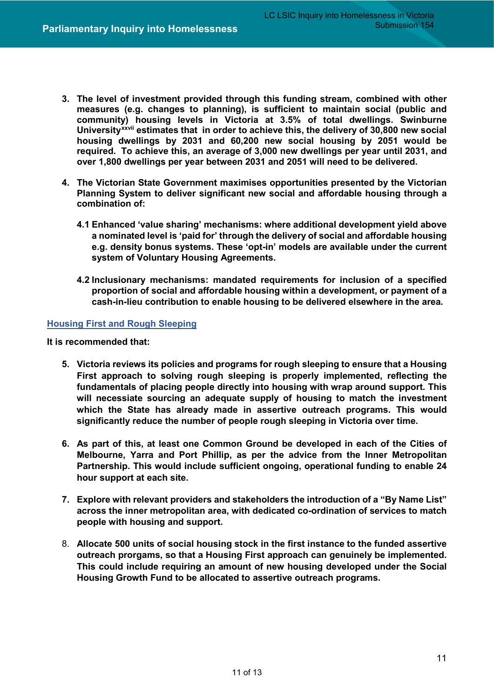- **3. The level of investment provided through this funding stream, combined with other measures (e.g. changes to planning), is sufficient to maintain social (public and community) [h](#page-13-9)ousing levels in Victoria at 3.5% of total dwellings. Swinburne Universityxxvii estimates that in order to achieve this, the delivery of 30,800 new social housing dwellings by 2031 and 60,200 new social housing by 2051 would be required. To achieve this, an average of 3,000 new dwellings per year until 2031, and over 1,800 dwellings per year between 2031 and 2051 will need to be delivered.**
- **4. The Victorian State Government maximises opportunities presented by the Victorian Planning System to deliver significant new social and affordable housing through a combination of:**
	- **4.1 Enhanced 'value sharing' mechanisms: where additional development yield above a nominated level is 'paid for' through the delivery of social and affordable housing e.g. density bonus systems. These 'opt-in' models are available under the current system of Voluntary Housing Agreements.**
	- **4.2 Inclusionary mechanisms: mandated requirements for inclusion of a specified proportion of social and affordable housing within a development, or payment of a cash-in-lieu contribution to enable housing to be delivered elsewhere in the area.**

#### **Housing First and Rough Sleeping**

**It is recommended that:**

- **5. Victoria reviews its policies and programs for rough sleeping to ensure that a Housing First approach to solving rough sleeping is properly implemented, reflecting the fundamentals of placing people directly into housing with wrap around support. This will necessiate sourcing an adequate supply of housing to match the investment which the State has already made in assertive outreach programs. This would significantly reduce the number of people rough sleeping in Victoria over time.**
- **6. As part of this, at least one Common Ground be developed in each of the Cities of Melbourne, Yarra and Port Phillip, as per the advice from the Inner Metropolitan Partnership. This would include sufficient ongoing, operational funding to enable 24 hour support at each site.**
- **7. Explore with relevant providers and stakeholders the introduction of a "By Name List" across the inner metropolitan area, with dedicated co-ordination of services to match people with housing and support.**
- 8. **Allocate 500 units of social housing stock in the first instance to the funded assertive outreach prorgams, so that a Housing First approach can genuinely be implemented. This could include requiring an amount of new housing developed under the Social Housing Growth Fund to be allocated to assertive outreach programs.**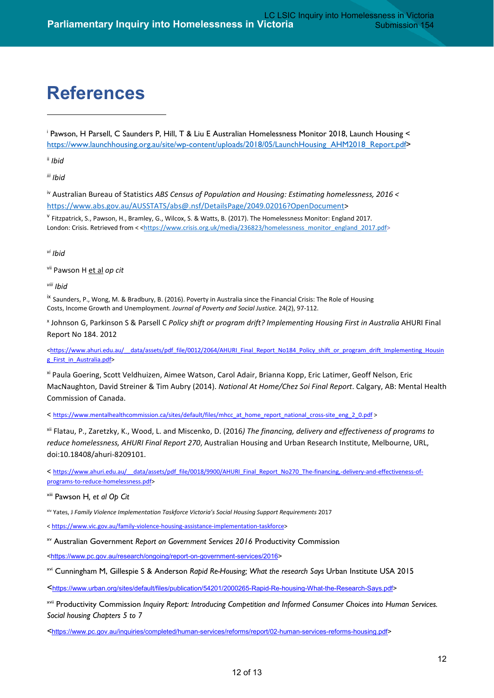### **References**

<span id="page-12-0"></span><sup>i</sup> Pawson, H Parsell, C Saunders P, Hill, T & Liu E Australian Homelessness Monitor 2018, Launch Housing < [https://www.launchhousing.org.au/site/wp-content/uploads/2018/05/LaunchHousing\\_AHM2018\\_Report.pdf>](https://www.launchhousing.org.au/site/wp-content/uploads/2018/05/LaunchHousing_AHM2018_Report.pdf)

<span id="page-12-1"></span>ii *Ibid*

-

<span id="page-12-2"></span>*iii Ibid*

<span id="page-12-3"></span>iv Australian Bureau of Statistics *ABS Census of Population and Housing: Estimating homelessness, 2016 <* [https://www.abs.gov.au/AUSSTATS/abs@.nsf/DetailsPage/2049.02016?OpenDocument>](https://www.abs.gov.au/AUSSTATS/abs@.nsf/DetailsPage/2049.02016?OpenDocument)

<span id="page-12-4"></span><sup>v</sup> Fitzpatrick, S., Pawson, H., Bramley, G., Wilcox, S. & Watts, B. (2017). The Homelessness Monitor: England 2017. London: Crisis. Retrieved from < < https://www.crisis.org.uk/media/236823/homelessness\_monitor\_england\_2017.pdf>

<span id="page-12-5"></span>*vi Ibid*

<span id="page-12-6"></span>vii Pawson H et al *op cit*

<span id="page-12-7"></span>*viii Ibid*

<span id="page-12-8"></span>ix Saunders, P., Wong, M. & Bradbury, B. (2016). Poverty in Australia since the Financial Crisis: The Role of Housing Costs, Income Growth and Unemployment. *Journal of Poverty and Social Justice.* 24(2), 97-112.

<span id="page-12-9"></span><sup>x</sup> Johnson G, Parkinson S & Parsell C *Policy shift or program drift? Implementing Housing First in Australia* AHURI Final Report No 184. 2012

<https://www.ahuri.edu.au/\_data/assets/pdf\_file/0012/2064/AHURI\_Final\_Report\_No184\_Policy\_shift\_or\_program\_drift\_Implementing\_Housin [g\\_First\\_in\\_Australia.pdf>](https://www.ahuri.edu.au/__data/assets/pdf_file/0012/2064/AHURI_Final_Report_No184_Policy_shift_or_program_drift_Implementing_Housing_First_in_Australia.pdf)

<span id="page-12-10"></span>xi Paula Goering, Scott Veldhuizen, Aimee Watson, Carol Adair, Brianna Kopp, Eric Latimer, Geoff Nelson, Eric MacNaughton, David Streiner & Tim Aubry (2014). *National At Home/Chez Soi Final Report*. Calgary, AB: Mental Health Commission of Canada.

< [https://www.mentalhealthcommission.ca/sites/default/files/mhcc\\_at\\_home\\_report\\_national\\_cross-site\\_eng\\_2\\_0.pdf >](https://www.mentalhealthcommission.ca/sites/default/files/mhcc_at_home_report_national_cross-site_eng_2_0.pdf)

<span id="page-12-11"></span>xii Flatau, P., Zaretzky, K., Wood, L. and Miscenko, D. (2016*) The financing, delivery and effectiveness of programs to reduce homelessness, AHURI Final Report 270*, Australian Housing and Urban Research Institute, Melbourne, URL, doi:10.18408/ahuri-8209101.

< [https://www.ahuri.edu.au/\\_\\_data/assets/pdf\\_file/0018/9900/AHURI\\_Final\\_Report\\_No270\\_The-financing,-delivery-and-effectiveness-of](https://www.ahuri.edu.au/__data/assets/pdf_file/0018/9900/AHURI_Final_Report_No270_The-financing,-delivery-and-effectiveness-of-programs-to-reduce-homelessness.pdf)[programs-to-reduce-homelessness.pdf>](https://www.ahuri.edu.au/__data/assets/pdf_file/0018/9900/AHURI_Final_Report_No270_The-financing,-delivery-and-effectiveness-of-programs-to-reduce-homelessness.pdf)

<span id="page-12-12"></span>xiii Pawson H*, et al Op Cit*

<span id="page-12-13"></span>xiv Yates, J *Family Violence Implementation Taskforce Victoria's Social Housing Support Requirements* 2017

[< https://www.vic.gov.au/family-violence-housing-assistance-implementation-taskforce>](https://www.vic.gov.au/family-violence-housing-assistance-implementation-taskforce)

<span id="page-12-14"></span>xv Australian Government *Report on Government Services 2016* Productivity Commission

[<https://www.pc.gov.au/research/ongoing/report-on-government-services/2016>](https://www.pc.gov.au/research/ongoing/report-on-government-services/2016)

<span id="page-12-15"></span>xvi Cunningham M, Gillespie S & Anderson *Rapid Re-Housing; What the research Says* Urban Institute USA 2015

[<https://www.urban.org/sites/default/files/publication/54201/2000265-Rapid-Re-housing-What-the-Research-Says.pdf>](https://www.urban.org/sites/default/files/publication/54201/2000265-Rapid-Re-housing-What-the-Research-Says.pdf)

<span id="page-12-16"></span>xvii Productivity Commission *Inquiry Report: Introducing Competition and Informed Consumer Choices into Human Services. Social housing Chapters 5 to 7* 

*<*[https://www.pc.gov.au/inquiries/completed/human-services/reforms/report/02-human-services-reforms-housing.pdf>](https://www.pc.gov.au/inquiries/completed/human-services/reforms/report/02-human-services-reforms-housing.pdf)